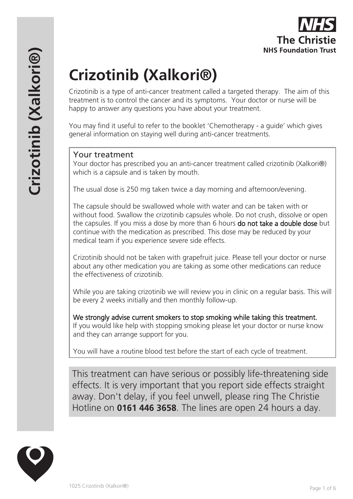Crizotinib is a type of anti-cancer treatment called a targeted therapy. The aim of this treatment is to control the cancer and its symptoms. Your doctor or nurse will be happy to answer any questions you have about your treatment.

You may find it useful to refer to the booklet 'Chemotherapy - a guide' which gives general information on staying well during anti-cancer treatments.

## Your treatment

Your doctor has prescribed you an anti-cancer treatment called crizotinib (Xalkori®) which is a capsule and is taken by mouth.

The usual dose is 250 mg taken twice a day morning and afternoon/evening.

The capsule should be swallowed whole with water and can be taken with or without food. Swallow the crizotinib capsules whole. Do not crush, dissolve or open the capsules. If you miss a dose by more than 6 hours **do not take a double dose** but continue with the medication as prescribed. This dose may be reduced by your medical team if you experience severe side effects.

Crizotinib should not be taken with grapefruit juice. Please tell your doctor or nurse about any other medication you are taking as some other medications can reduce the effectiveness of crizotinib.

While you are taking crizotinib we will review you in clinic on a regular basis. This will be every 2 weeks initially and then monthly follow-up.

We strongly advise current smokers to stop smoking while taking this treatment. If you would like help with stopping smoking please let your doctor or nurse know and they can arrange support for you.

You will have a routine blood test before the start of each cycle of treatment.

This treatment can have serious or possibly life-threatening side effects. It is very important that you report side effects straight away. Don't delay, if you feel unwell, please ring The Christie Hotline on **0161 446 3658**. The lines are open 24 hours a day.

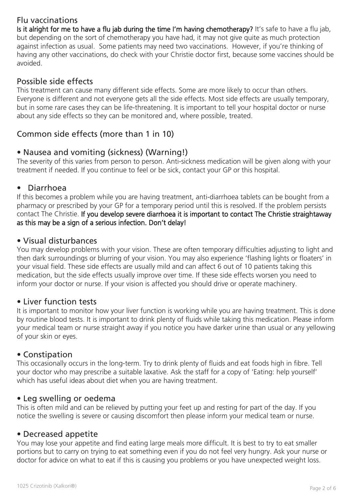# Flu vaccinations

Is it alright for me to have a flu jab during the time I'm having chemotherapy? It's safe to have a flu jab, but depending on the sort of chemotherapy you have had, it may not give quite as much protection against infection as usual. Some patients may need two vaccinations. However, if you're thinking of having any other vaccinations, do check with your Christie doctor first, because some vaccines should be avoided.

## Possible side effects

This treatment can cause many different side effects. Some are more likely to occur than others. Everyone is different and not everyone gets all the side effects. Most side effects are usually temporary, but in some rare cases they can be life-threatening. It is important to tell your hospital doctor or nurse about any side effects so they can be monitored and, where possible, treated.

# Common side effects (more than 1 in 10)

## • Nausea and vomiting (sickness) (Warning!)

The severity of this varies from person to person. Anti-sickness medication will be given along with your treatment if needed. If you continue to feel or be sick, contact your GP or this hospital.

### • Diarrhoea

If this becomes a problem while you are having treatment, anti-diarrhoea tablets can be bought from a pharmacy or prescribed by your GP for a temporary period until this is resolved. If the problem persists contact The Christie. If you develop severe diarrhoea it is important to contact The Christie straightaway as this may be a sign of a serious infection. Don't delay!

### • Visual disturbances

You may develop problems with your vision. These are often temporary difficulties adjusting to light and then dark surroundings or blurring of your vision. You may also experience 'flashing lights or floaters' in your visual field. These side effects are usually mild and can affect 6 out of 10 patients taking this medication, but the side effects usually improve over time. If these side effects worsen you need to inform your doctor or nurse. If your vision is affected you should drive or operate machinery.

### • Liver function tests

It is important to monitor how your liver function is working while you are having treatment. This is done by routine blood tests. It is important to drink plenty of fluids while taking this medication. Please inform your medical team or nurse straight away if you notice you have darker urine than usual or any yellowing of your skin or eyes.

### • Constipation

This occasionally occurs in the long-term. Try to drink plenty of fluids and eat foods high in fibre. Tell your doctor who may prescribe a suitable laxative. Ask the staff for a copy of 'Eating: help yourself' which has useful ideas about diet when you are having treatment.

### • Leg swelling or oedema

This is often mild and can be relieved by putting your feet up and resting for part of the day. If you notice the swelling is severe or causing discomfort then please inform your medical team or nurse.

### • Decreased appetite

You may lose your appetite and find eating large meals more difficult. It is best to try to eat smaller portions but to carry on trying to eat something even if you do not feel very hungry. Ask your nurse or doctor for advice on what to eat if this is causing you problems or you have unexpected weight loss.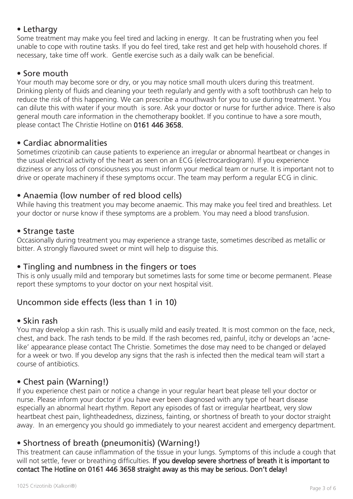## • Lethargy

Some treatment may make you feel tired and lacking in energy. It can be frustrating when you feel unable to cope with routine tasks. If you do feel tired, take rest and get help with household chores. If necessary, take time off work. Gentle exercise such as a daily walk can be beneficial.

## • Sore mouth

Your mouth may become sore or dry, or you may notice small mouth ulcers during this treatment. Drinking plenty of fluids and cleaning your teeth regularly and gently with a soft toothbrush can help to reduce the risk of this happening. We can prescribe a mouthwash for you to use during treatment. You can dilute this with water if your mouth is sore. Ask your doctor or nurse for further advice. There is also general mouth care information in the chemotherapy booklet. If you continue to have a sore mouth, please contact The Christie Hotline on 0161 446 3658.

# • Cardiac abnormalities

Sometimes crizotinib can cause patients to experience an irregular or abnormal heartbeat or changes in the usual electrical activity of the heart as seen on an ECG (electrocardiogram). If you experience dizziness or any loss of consciousness you must inform your medical team or nurse. It is important not to drive or operate machinery if these symptoms occur. The team may perform a regular ECG in clinic.

# • Anaemia (low number of red blood cells)

While having this treatment you may become anaemic. This may make you feel tired and breathless. Let your doctor or nurse know if these symptoms are a problem. You may need a blood transfusion.

## • Strange taste

Occasionally during treatment you may experience a strange taste, sometimes described as metallic or bitter. A strongly flavoured sweet or mint will help to disguise this.

# • Tingling and numbness in the fingers or toes

This is only usually mild and temporary but sometimes lasts for some time or become permanent. Please report these symptoms to your doctor on your next hospital visit.

# Uncommon side effects (less than 1 in 10)

### • Skin rash

You may develop a skin rash. This is usually mild and easily treated. It is most common on the face, neck, chest, and back. The rash tends to be mild. If the rash becomes red, painful, itchy or develops an 'acnelike' appearance please contact The Christie. Sometimes the dose may need to be changed or delayed for a week or two. If you develop any signs that the rash is infected then the medical team will start a course of antibiotics.

# • Chest pain (Warning!)

If you experience chest pain or notice a change in your regular heart beat please tell your doctor or nurse. Please inform your doctor if you have ever been diagnosed with any type of heart disease especially an abnormal heart rhythm. Report any episodes of fast or irregular heartbeat, very slow heartbeat chest pain, lightheadedness, dizziness, fainting, or shortness of breath to your doctor straight away. In an emergency you should go immediately to your nearest accident and emergency department.

# • Shortness of breath (pneumonitis) (Warning!)

This treatment can cause inflammation of the tissue in your lungs. Symptoms of this include a cough that will not settle, fever or breathing difficulties. If you develop severe shortness of breath it is important to contact The Hotline on 0161 446 3658 straight away as this may be serious. Don't delay!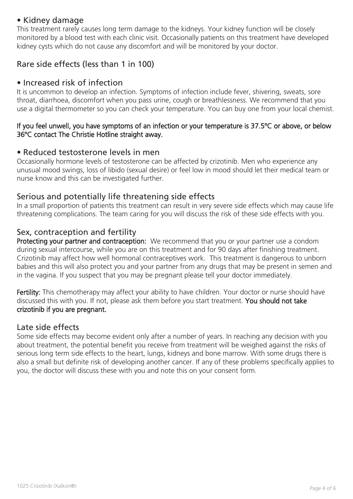## • Kidney damage

This treatment rarely causes long term damage to the kidneys. Your kidney function will be closely monitored by a blood test with each clinic visit. Occasionally patients on this treatment have developed kidney cysts which do not cause any discomfort and will be monitored by your doctor.

# Rare side effects (less than 1 in 100)

### • Increased risk of infection

It is uncommon to develop an infection. Symptoms of infection include fever, shivering, sweats, sore throat, diarrhoea, discomfort when you pass urine, cough or breathlessness. We recommend that you use a digital thermometer so you can check your temperature. You can buy one from your local chemist.

#### If you feel unwell, you have symptoms of an infection or your temperature is 37.5ºC or above, or below 36ºC contact The Christie Hotline straight away.

### • Reduced testosterone levels in men

Occasionally hormone levels of testosterone can be affected by crizotinib. Men who experience any unusual mood swings, loss of libido (sexual desire) or feel low in mood should let their medical team or nurse know and this can be investigated further.

### Serious and potentially life threatening side effects

In a small proportion of patients this treatment can result in very severe side effects which may cause life threatening complications. The team caring for you will discuss the risk of these side effects with you.

### Sex, contraception and fertility

Protecting your partner and contraception: We recommend that you or your partner use a condom during sexual intercourse, while you are on this treatment and for 90 days after finishing treatment. Crizotinib may affect how well hormonal contraceptives work. This treatment is dangerous to unborn babies and this will also protect you and your partner from any drugs that may be present in semen and in the vagina. If you suspect that you may be pregnant please tell your doctor immediately.

Fertility: This chemotherapy may affect your ability to have children. Your doctor or nurse should have discussed this with you. If not, please ask them before you start treatment. You should not take crizotinib if you are pregnant.

### Late side effects

Some side effects may become evident only after a number of years. In reaching any decision with you about treatment, the potential benefit you receive from treatment will be weighed against the risks of serious long term side effects to the heart, lungs, kidneys and bone marrow. With some drugs there is also a small but definite risk of developing another cancer. If any of these problems specifically applies to you, the doctor will discuss these with you and note this on your consent form.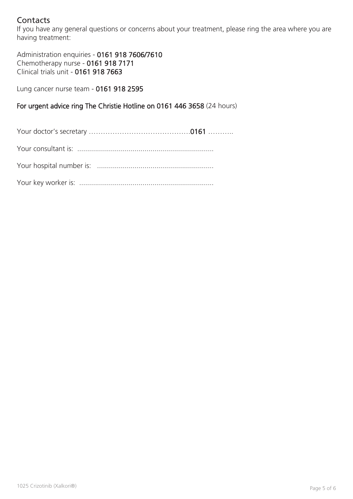# **Contacts**

If you have any general questions or concerns about your treatment, please ring the area where you are having treatment:

Administration enquiries - 0161 918 7606/7610 Chemotherapy nurse - 0161 918 7171 Clinical trials unit - 0161 918 7663

Lung cancer nurse team - 0161 918 2595

For urgent advice ring The Christie Hotline on 0161 446 3658 (24 hours)

Your doctor's secretary …………………………………….0161 ……….. Your consultant is: ..................................................................... Your hospital number is: ...........................................................

Your key worker is: ....................................................................